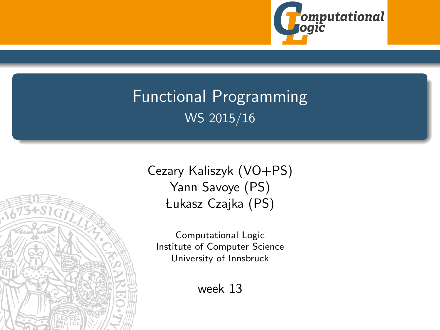

# Functional Programming WS 2015/16



<span id="page-0-0"></span>Computational Logic Institute of Computer Science University of Innsbruck

week 13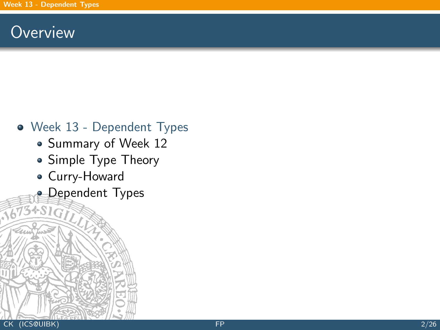### **Overview**

- <span id="page-1-0"></span>[Week 13 - Dependent Types](#page-1-0)
	- [Summary of Week 12](#page-2-0)
	- [Simple Type Theory](#page-12-0)
	- [Curry-Howard](#page-18-0)
	- **[Dependent Types](#page-25-0)**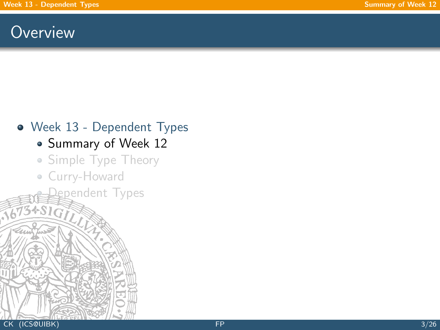### **Overview**

# [Week 13 - Dependent Types](#page-1-0)

- [Summary of Week 12](#page-2-0)
- [Simple Type Theory](#page-12-0)

<span id="page-2-0"></span>gpendent Types

[Curry-Howard](#page-18-0)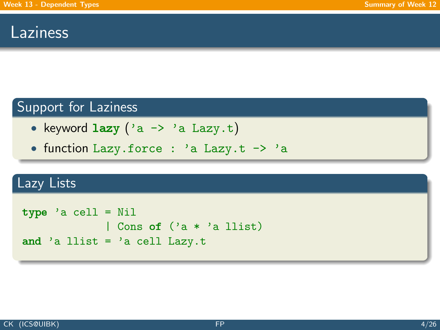### Laziness

### Support for Laziness

- keyword  $lazy (a \rightarrow 'a Lazy.t)$
- function Lazy.force : 'a Lazy.t -> 'a

### Lazy Lists

```
type 'a cell = Nil
             | Cons of ('a * 'a llist)
and 'a llist = 'a cell Lazy.t
```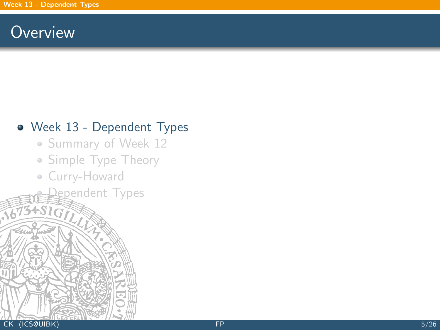### **Overview**

#### [Week 13 - Dependent Types](#page-1-0)

- [Summary of Week 12](#page-2-0)
- [Simple Type Theory](#page-12-0)

[Dependent Types](#page-25-0)

[Curry-Howard](#page-18-0)

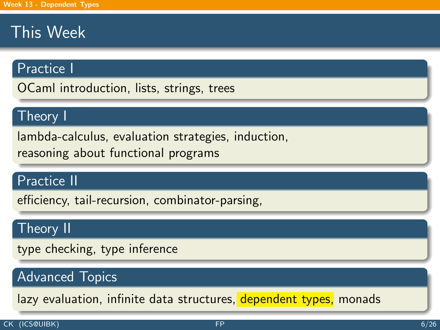## This Week

#### Practice I

OCaml introduction, lists, strings, trees

#### Theory I

lambda-calculus, evaluation strategies, induction, reasoning about functional programs

#### Practice II

efficiency, tail-recursion, combinator-parsing,

#### Theory II

type checking, type inference

### Advanced Topics

lazy evaluation, infinite data structures, dependent types, monads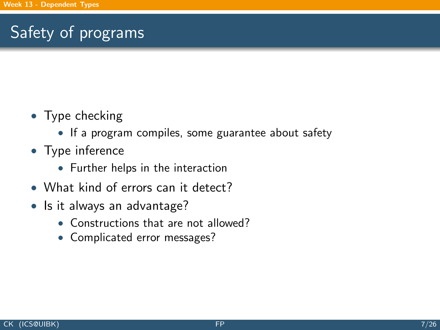# Safety of programs

- Type checking
	- If a program compiles, some guarantee about safety
- Type inference
	- Further helps in the interaction
- What kind of errors can it detect?
- Is it always an advantage?
	- Constructions that are not allowed?
	- Complicated error messages?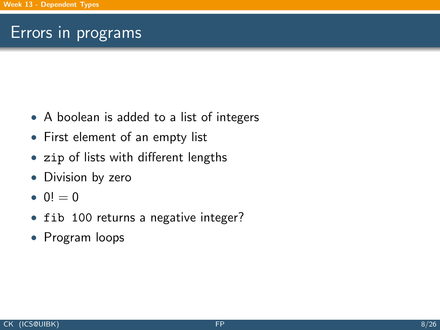### Errors in programs

- A boolean is added to a list of integers
- First element of an empty list
- zip of lists with different lengths
- Division by zero
- $0! = 0$
- fib 100 returns a negative integer?
- Program loops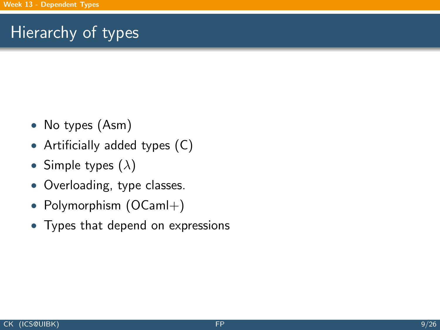## Hierarchy of types

- No types (Asm)
- Artificially added types (C)
- Simple types  $(\lambda)$
- Overloading, type classes.
- Polymorphism (OCaml+)
- Types that depend on expressions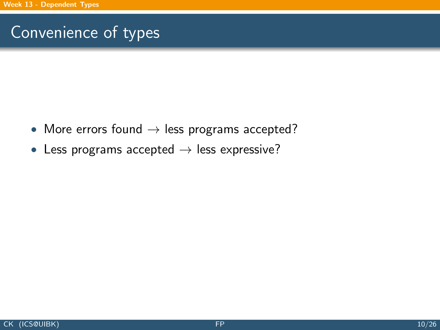## Convenience of types

- More errors found  $\rightarrow$  less programs accepted?
- Less programs accepted  $\rightarrow$  less expressive?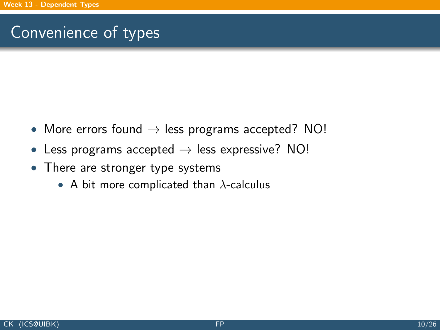## Convenience of types

- More errors found  $\rightarrow$  less programs accepted? NO!
- Less programs accepted  $\rightarrow$  less expressive? NO!
- There are stronger type systems
	- A bit more complicated than  $\lambda$ -calculus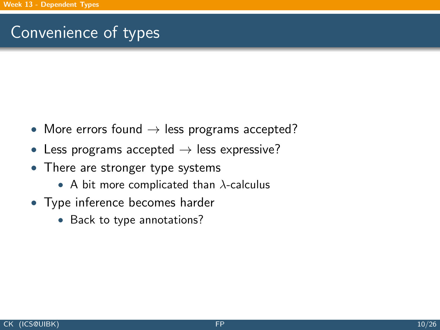## Convenience of types

- More errors found  $\rightarrow$  less programs accepted?
- Less programs accepted  $\rightarrow$  less expressive?
- There are stronger type systems
	- A bit more complicated than  $\lambda$ -calculus
- Type inference becomes harder
	- Back to type annotations?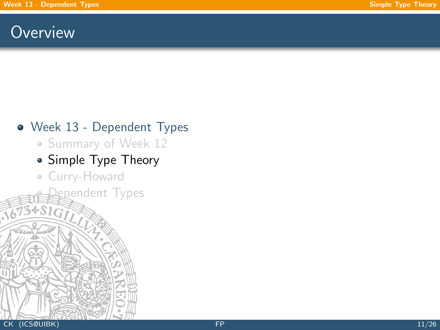### **Overview**

#### [Week 13 - Dependent Types](#page-1-0)

• [Summary of Week 12](#page-2-0)

### • [Simple Type Theory](#page-12-0)

<span id="page-12-0"></span>gpendent Types

[Curry-Howard](#page-18-0)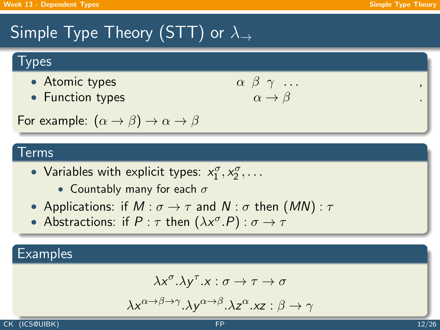## Simple Type Theory (STT) or  $\lambda_{\rightarrow}$

### **Types**

- Atomic types
- Function types

$$
\begin{array}{ccc}\n\alpha & \beta & \gamma & \dots \\
\alpha & \rightarrow & \beta\n\end{array}
$$

For example:  $(\alpha \rightarrow \beta) \rightarrow \alpha \rightarrow \beta$ 

#### Terms

- Variables with explicit types:  $x_1^{\sigma}, x_2^{\sigma}, \ldots$ 
	- Countably many for each  $\sigma$
- Applications: if  $M : \sigma \to \tau$  and  $N : \sigma$  then  $(MN) : \tau$
- Abstractions: if  $P : \tau$  then  $(\lambda x^{\sigma}.P) : \sigma \rightarrow \tau$

### **Examples**

$$
\lambda x^{\sigma}.\lambda y^{\tau}.x:\sigma\to\tau\to\sigma
$$

$$
\lambda x^{\alpha \to \beta \to \gamma}.\lambda y^{\alpha \to \beta}.\lambda z^{\alpha}.xz : \beta \to \gamma
$$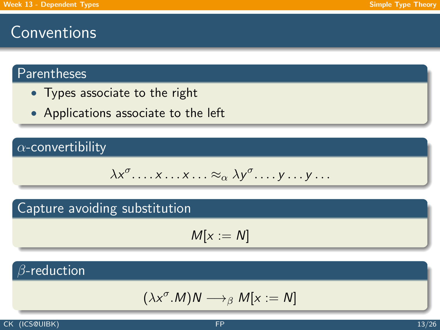### **Conventions**

### Parentheses

- Types associate to the right
- Applications associate to the left

#### $\alpha$ -convertibility

$$
\lambda x^{\sigma} \dots x \dots x \dots \approx_{\alpha} \lambda y^{\sigma} \dots y \dots y \dots
$$

#### Capture avoiding substitution

$$
M[x:=N]
$$

### $\beta$ -reduction

$$
(\lambda x^{\sigma}.M)N \longrightarrow_{\beta} M[x := N]
$$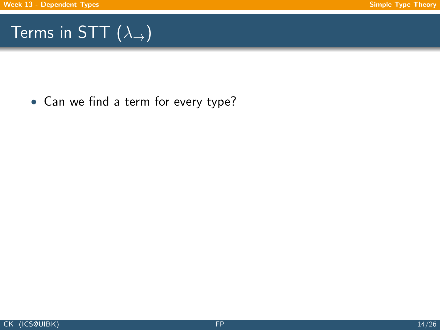## Terms in STT  $(\lambda_{\rightarrow})$

• Can we find a term for every type?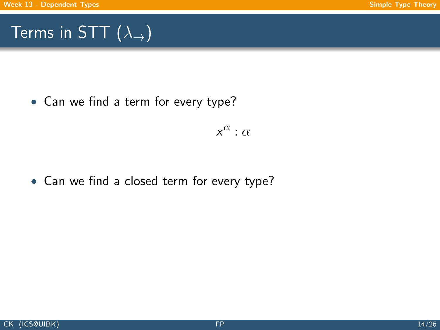## Terms in STT  $(\lambda_{\rightarrow})$

• Can we find a term for every type?

 $x^{\alpha}$  :  $\alpha$ 

• Can we find a closed term for every type?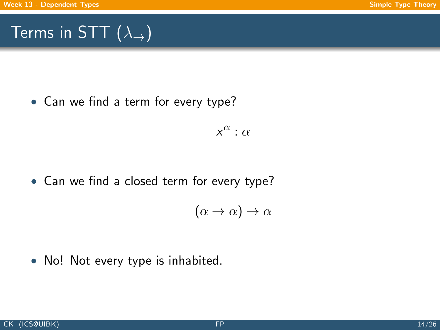# Terms in STT  $(\lambda_{\rightarrow})$

• Can we find a term for every type?

 $x^{\alpha}$  :  $\alpha$ 

• Can we find a closed term for every type?

$$
(\alpha \to \alpha) \to \alpha
$$

• No! Not every type is inhabited.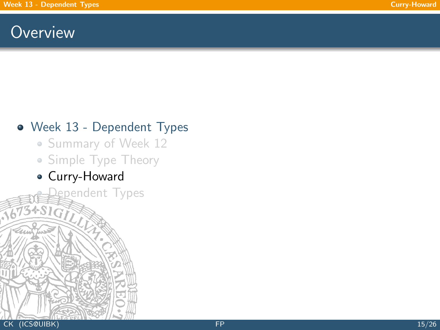### **Overview**

### [Week 13 - Dependent Types](#page-1-0)

- [Summary of Week 12](#page-2-0)
- [Simple Type Theory](#page-12-0)
- <span id="page-18-0"></span>[Curry-Howard](#page-18-0)

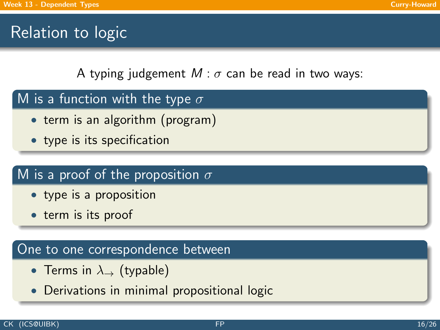## Relation to logic

A typing judgement  $M$  :  $\sigma$  can be read in two ways:

- M is a function with the type  $\sigma$ 
	- term is an algorithm (program)
	- type is its specification

### M is a proof of the proposition  $\sigma$

- type is a proposition
- term is its proof

#### One to one correspondence between

- Terms in  $\lambda_{\rightarrow}$  (typable)
- Derivations in minimal propositional logic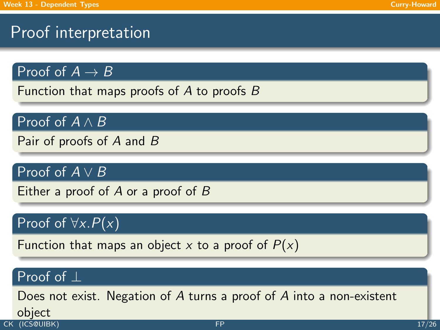## Proof interpretation

Proof of  $A \rightarrow B$ 

Function that maps proofs of  $A$  to proofs  $B$ 

Proof of  $A \wedge B$ 

Pair of proofs of A and B

Proof of  $A \vee B$ 

Either a proof of  $A$  or a proof of  $B$ 

### Proof of  $\forall x.P(x)$

Function that maps an object x to a proof of  $P(x)$ 

#### Proof of ⊥

Does not exist. Negation of A turns a proof of A into a non-existent **object**<br>CK (ICSQUIBK) CK (ICS@UIBK)  $\rm{FP}$  $\rm{FP}$  $\rm{FP}$  and  $\rm{TP}$  and  $\rm{TP}$  and  $\rm{TP}$  and  $\rm{TP}$  and  $\rm{TP}$  and  $\rm{TP}$  and  $\rm{TP}$  and  $\rm{TP}$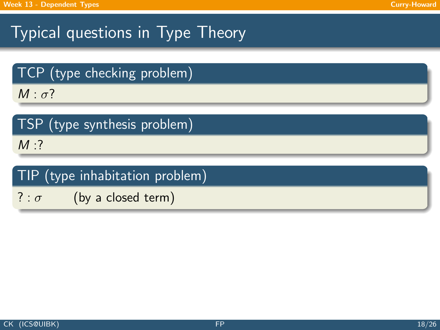## Typical questions in Type Theory

TCP (type checking problem)

 $M : \sigma$ ?

|  |  | TSP (type synthesis problem) |  |  |
|--|--|------------------------------|--|--|
|--|--|------------------------------|--|--|

 $M:?$ 

|  | TIP (type inhabitation problem) |  |
|--|---------------------------------|--|
|  |                                 |  |

 $? : \sigma$  (by a closed term)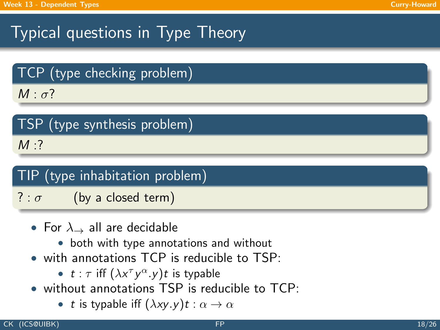## Typical questions in Type Theory

TCP (type checking problem)

 $M : \sigma$ ?

|        | TSP (type synthesis problem) |  |
|--------|------------------------------|--|
| $M:$ ? |                              |  |

### TIP (type inhabitation problem)

? :  $\sigma$  (by a closed term)

- For  $\lambda \rightarrow$  all are decidable
	- both with type annotations and without
- with annotations TCP is reducible to TSP.
	- $t : \tau$  iff  $(\lambda x^\tau y^\alpha y) t$  is typable
- without annotations TSP is reducible to TCP:
	- t is typable iff  $(\lambda xy. y)t : \alpha \to \alpha$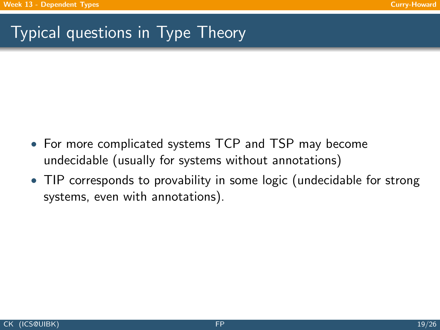## Typical questions in Type Theory

- For more complicated systems TCP and TSP may become undecidable (usually for systems without annotations)
- TIP corresponds to provability in some logic (undecidable for strong systems, even with annotations).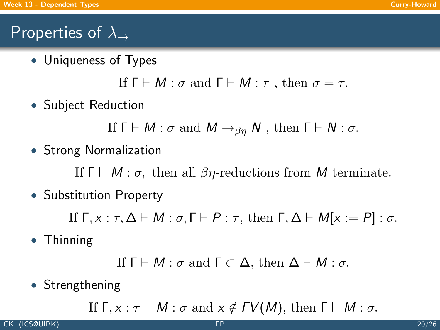## Properties of  $\lambda_{\rightarrow}$

• Uniqueness of Types

If  $\Gamma \vdash M : \sigma$  and  $\Gamma \vdash M : \tau$ , then  $\sigma = \tau$ .

• Subject Reduction

If  $\Gamma \vdash M : \sigma$  and  $M \rightarrow_{\beta n} N$ , then  $\Gamma \vdash N : \sigma$ .

• Strong Normalization

If  $\Gamma \vdash M : \sigma$ , then all  $\beta \eta$ -reductions from M terminate.

• Substitution Property

If  $\Gamma, x : \tau, \Delta \vdash M : \sigma, \Gamma \vdash P : \tau$ , then  $\Gamma, \Delta \vdash M[x := P] : \sigma$ .

• Thinning

```
If \Gamma \vdash M : \sigma and \Gamma \subset \Delta, then \Delta \vdash M : \sigma.
```
• Strengthening

If  $\Gamma, x : \tau \vdash M : \sigma$  and  $x \notin FV(M)$ , then  $\Gamma \vdash M : \sigma$ .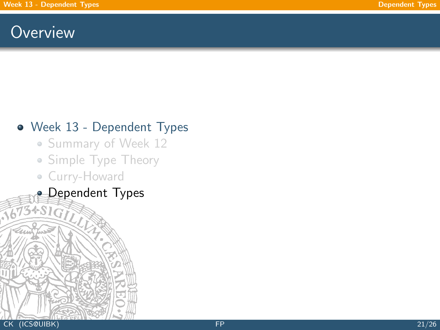### **Overview**

### [Week 13 - Dependent Types](#page-1-0)

- [Summary of Week 12](#page-2-0)
- [Simple Type Theory](#page-12-0)
- <span id="page-25-0"></span>[Curry-Howard](#page-18-0)
- **[Dependent Types](#page-25-0)**  $3+51$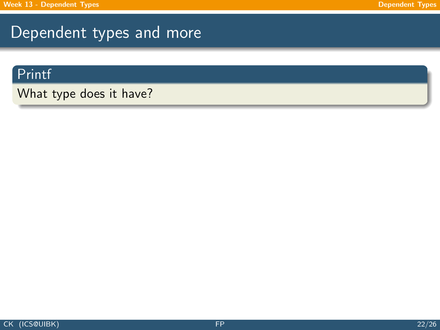### Dependent types and more

#### Printf

What type does it have?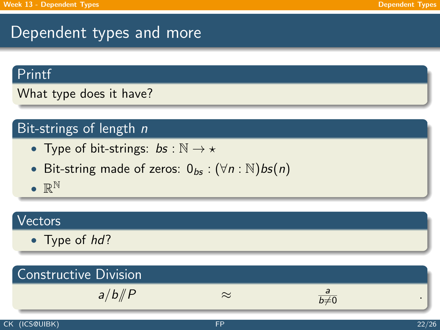### Dependent types and more

#### Printf

What type does it have?

### Bit-strings of length n

- Type of bit-strings:  $bs : \mathbb{N} \to \star$
- Bit-string made of zeros:  $0_{bs}$  :  $(\forall n : \mathbb{N})$ bs $(n)$
- $\bullet \mathbb{R}^{\mathbb{N}}$

#### Vectors

• Type of hd?

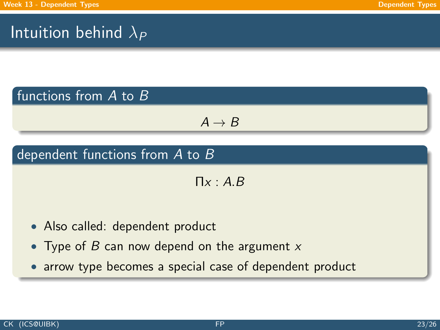## Intuition behind  $\lambda_P$

### functions from A to B

$$
\textit{A} \rightarrow \textit{B}
$$

### dependent functions from A to B

 $\Pi x : A.B$ 

- Also called: dependent product
- Type of B can now depend on the argument  $x$
- arrow type becomes a special case of dependent product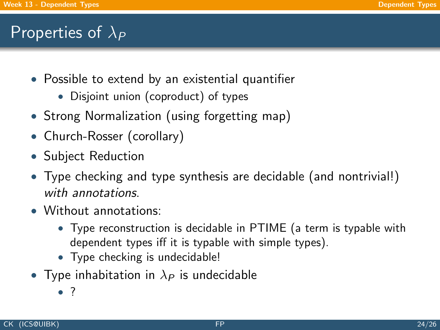### Properties of  $\lambda_P$

- Possible to extend by an existential quantifier
	- Disjoint union (coproduct) of types
- Strong Normalization (using forgetting map)
- Church-Rosser (corollary)
- Subject Reduction
- Type checking and type synthesis are decidable (and nontrivial!) with annotations.
- Without annotations:
	- Type reconstruction is decidable in PTIME (a term is typable with dependent types iff it is typable with simple types).
	- Type checking is undecidable!
- Type inhabitation in  $\lambda_P$  is undecidable
	- ?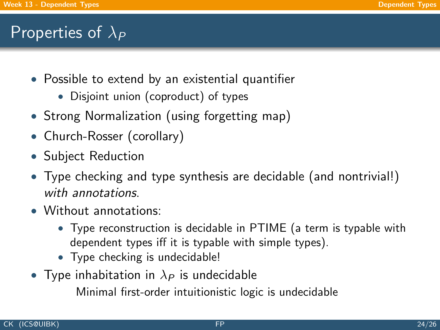### Properties of  $\lambda_P$

- Possible to extend by an existential quantifier
	- Disjoint union (coproduct) of types
- Strong Normalization (using forgetting map)
- Church-Rosser (corollary)
- Subject Reduction
- Type checking and type synthesis are decidable (and nontrivial!) with annotations.
- Without annotations:
	- Type reconstruction is decidable in PTIME (a term is typable with dependent types iff it is typable with simple types).
	- Type checking is undecidable!
- Type inhabitation in  $\lambda_P$  is undecidable

Minimal first-order intuitionistic logic is undecidable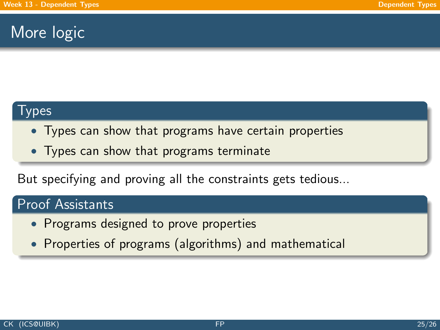### More logic

#### Types

- Types can show that programs have certain properties
- Types can show that programs terminate

But specifying and proving all the constraints gets tedious...

#### Proof Assistants

- Programs designed to prove properties
- Properties of programs (algorithms) and mathematical